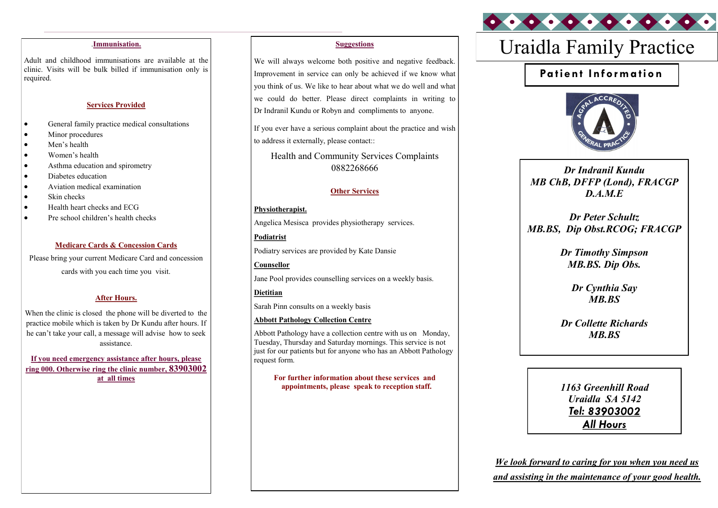Adult and childhood immunisations are available at the clinic. Visits will be bulk billed if immunisation only is required.

#### **Services Provided**

- General family practice medical consultations
- Minor procedures
- Men's health
- Women's health
- Asthma education and spirometry
- Diabetes education
- Aviation medical examination
- Skin checks
- Health heart checks and ECG
- Pre school children's health checks

#### **Medicare Cards & Concession Cards**

Please bring your current Medicare Card and concession cards with you each time you visit.

### **After Hours.**

When the clinic is closed the phone will be diverted to the practice mobile which is taken by Dr Kundu after hours. If he can't take your call, a message will advise how to seek assistance.

**If you need emergency assistance after hours, please ring 000. Otherwise ring the clinic number, 83903002 at all times**

#### **Suggestions**

We will always welcome both positive and negative feedback. Improvement in service can only be achieved if we know what you think of us. We like to hear about what we do well and what we could do better. Please direct complaints in writing to Dr Indranil Kundu or Robyn and compliments to anyone.

If you ever have a serious complaint about the practice and wish to address it externally, please contact::

Health and Community Services Complaints 0882268666

#### **Other Services**

### **Physiotherapist.**

Angelica Mesisca provides physiotherapy services.

**Podiatrist**  Podiatry services are provided by Kate Dansie

**Counsellor** Jane Pool provides counselling services on a weekly basis.

**Dietitian** Sarah Pinn consults on a weekly basis

**Abbott Pathology Collection Centre**

Abbott Pathology have a collection centre with us on Monday, Tuesday, Thursday and Saturday mornings. This service is not just for our patients but for anyone who has an Abbott Pathology request form.

**For further information about these services and appointments, please speak to reception staff.**

# Uraidla Family Practice .**Immunisation.**

## **Pa tient Infor ma tion**



*Dr Indranil Kundu MB ChB, DFFP (Lond), FRACGP D.A.M.E*

*Dr Peter Schultz MB.BS, Dip Obst.RCOG; FRACGP*

> *Dr Timothy Simpson MB.BS. Dip Obs.*

> > *Dr Cynthia Say MB.BS*

*Dr Collette Richards MB.BS*

*1163 Greenhill Road Uraidla SA 5142 Tel:*  **All Hours** 

*We look forward to caring for you when you need us and assisting in the maintenance of your good health.*